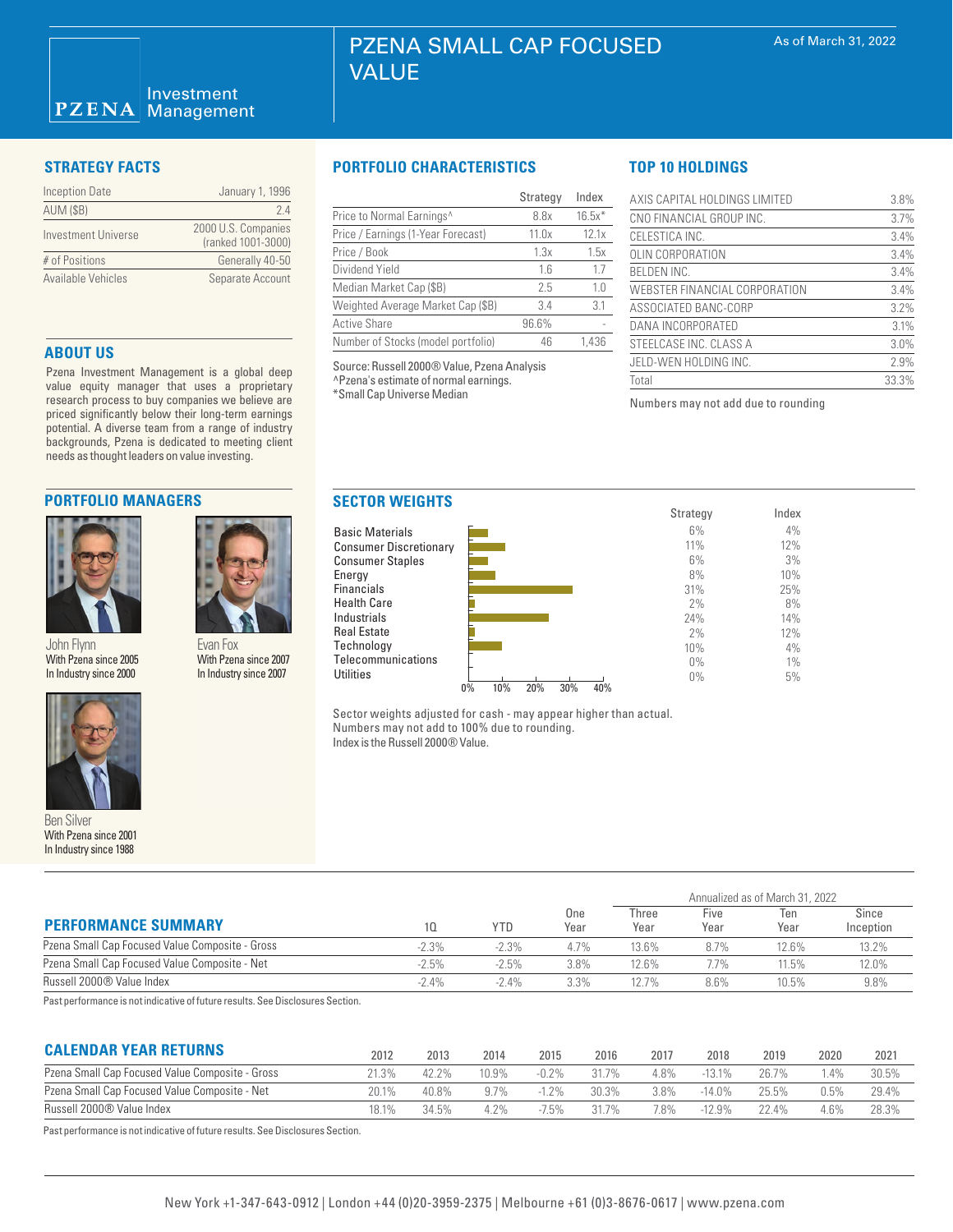### Investment **PZENA** Management

| Inception Date      | January 1, 1996                           |  |  |  |  |
|---------------------|-------------------------------------------|--|--|--|--|
| <b>AUM (\$B)</b>    | 24                                        |  |  |  |  |
| Investment Universe | 2000 U.S. Companies<br>(ranked 1001-3000) |  |  |  |  |
| # of Positions      | Generally 40-50                           |  |  |  |  |
| Available Vehicles  | Separate Account                          |  |  |  |  |

## **ABOUT US**

Pzena Investment Management is a global deep value equity manager that uses a proprietary research process to buy companies we believe are priced significantly below their long-term earnings potential. A diverse team from a range of industry backgrounds, Pzena is dedicated to meeting client needs as thought leaders on value investing.

# **PORTFOLIO MANAGERS**



John Flynn With Pzena since 2005 In Industry since 2000



Ben Silver With Pzena since 2001 In Industry since 1988

# **STRATEGY FACTS PORTFOLIO CHARACTERISTICS**

|                                    | Strategy | Index    |
|------------------------------------|----------|----------|
| Price to Normal Earnings^          | 8.8x     | $16.5x*$ |
| Price / Earnings (1-Year Forecast) | 11.0x    | 12.1x    |
| Price / Book                       | 1.3x     | 1.5x     |
| Dividend Yield                     | 1.6      | 1.7      |
| Median Market Cap (\$B)            | 2.5      | 1.0      |
| Weighted Average Market Cap (\$B)  | 3.4      | 3.1      |
| <b>Active Share</b>                | 96.6%    |          |
| Number of Stocks (model portfolio) | 46       | 1.436    |

Source: Russell 2000® Value, Pzena Analysis ^Pzena's estimate of normal earnings. \*Small Cap Universe Median

# **TOP 10 HOLDINGS**

| AXIS CAPITAL HOLDINGS LIMITED | 3.8%  |
|-------------------------------|-------|
| CNO FINANCIAL GROUP INC.      | 3.7%  |
| CELESTICA INC.                | 3.4%  |
| OLIN CORPORATION              | 3.4%  |
| <b>BELDEN INC.</b>            | 3.4%  |
| WEBSTER FINANCIAL CORPORATION | 3.4%  |
| ASSOCIATED BANC-CORP          | 3.2%  |
| DANA INCORPORATED             | 3.1%  |
| STEELCASE INC. CLASS A        | 3.0%  |
| JELD-WEN HOLDING INC.         | 2.9%  |
| Total                         | 33.3% |

Numbers may not add due to rounding



Sector weights adjusted for cash - may appear higher than actual. Numbers may not add to 100% due to rounding. Index is the Russell 2000® Value.

|                                                 |          |         |             | Annualized as of March 31, 2022 |              |             |                    |  |  |
|-------------------------------------------------|----------|---------|-------------|---------------------------------|--------------|-------------|--------------------|--|--|
| <b>PERFORMANCE SUMMARY</b>                      | 10.      | YTD     | One<br>Year | Three<br>Year                   | Five<br>Year | Ten<br>Year | Since<br>Inception |  |  |
| Pzena Small Cap Focused Value Composite - Gross | $-2.3%$  | $-2.3%$ | 4.7%        | 13.6%                           | 8.7%         | 12.6%       | 13.2%              |  |  |
| Pzena Small Cap Focused Value Composite - Net   | $-2.5%$  | $-2.5%$ | 3.8%        | 12.6%                           | 7.7%         | 11.5%       | 12.0%              |  |  |
| Russell 2000® Value Index                       | $-2.4\%$ | $-2.4%$ | 3.3%        | 12.7%                           | 8.6%         | 10.5%       | 9.8%               |  |  |
| .                                               |          |         |             |                                 |              |             |                    |  |  |

Past performance is not indicative of future results. See Disclosures Section.

Evan Fox With Pzena since 2007 In Industry since 2007

| <b>CALENDAR YEAR RETURNS</b>                    | 2012  | 2013  | 2014  | 2015     | 2016  | 2017    | 2018      | 2019     | 2020    | 2021  |
|-------------------------------------------------|-------|-------|-------|----------|-------|---------|-----------|----------|---------|-------|
| Pzena Small Cap Focused Value Composite - Gross | 21.3% | 42.2% | 10.9% | $-0.2\%$ | 31.7% | 4.8%    | $-13.1\%$ | 26 7%    |         | 30.5% |
| Pzena Small Cap Focused Value Composite - Net   |       | 40.8% | 97%   | $-1.2\%$ | 30.3% | $3.8\%$ | $-14.0%$  | 25.5%    | $0.5\%$ | 29.4% |
| Russell 2000® Value Index                       |       | 34.5% | 4 2%  | $-7.5%$  | 31.7% | 7.8%    | $-12.9%$  | $22.4\%$ | $4.6\%$ | 28.3% |

Past performance is not indicative of future results. See Disclosures Section.